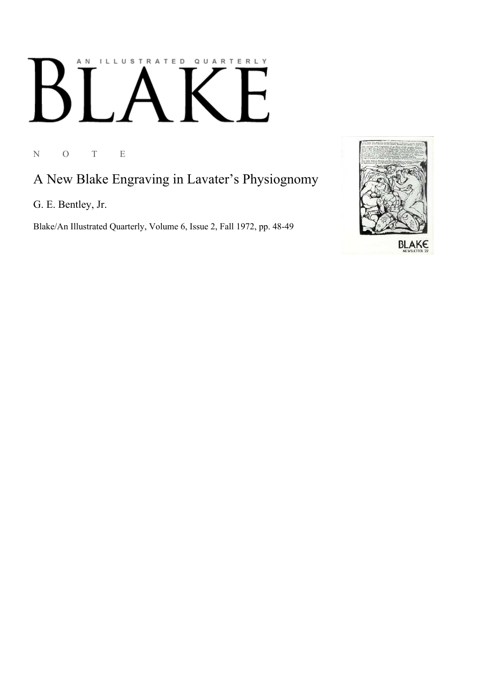# ILLUSTRATED QUARTERLY A N K

N O T E

## A New Blake Engraving in Lavater's Physiognomy

G. E. Bentley, Jr.

Blake/An Illustrated Quarterly, Volume 6, Issue 2, Fall 1972, pp. 48-49

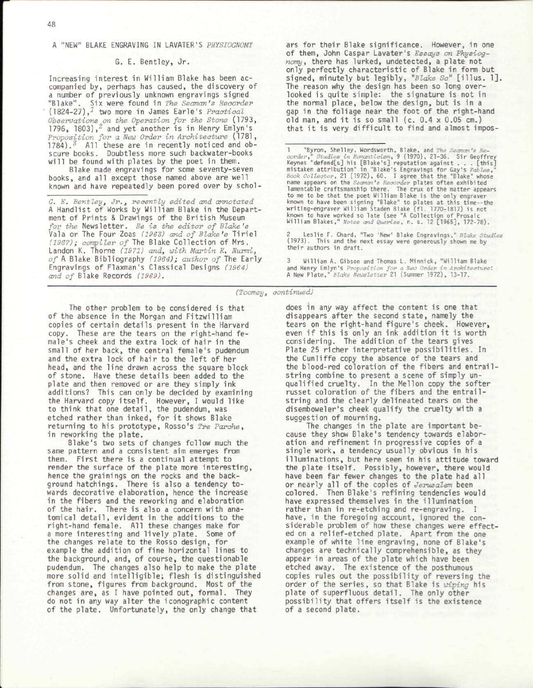#### 48

#### A "NEW" BLAKE ENGRAVING IN LAVATER'S *PHYSIOGNOMY*

### G. E. Bentley, Jr.

Increasing interest in William Blake has been accompanied by, perhaps has caused, the discovery of a number of previously unknown engravings signed "Blake". Six were found in *The Seaman's Recorder*  (1824-27),<sup>1</sup> two more in James Earle's *Practical Observations on the Operation for the Stone* (1793, 1796, 1803),<sup>2</sup> and yet another is in Henry Emlyn's *Proposition for a New Order in Architecture* (1781,  $1784$ ).<sup>3</sup> All these are in recently noticed and obscure books. Doubtless more such backwater-books will be found with plates by the poet in them.

Blake made engravings for some seventy-seven books, and all except those named above are well known and have repeatedly been pored over by schol-

*G. E. Bentleyj Jr.3 recently edited and annotated*  A Handlist of Works by William Blake in the Department of Prints & Drawings of the British Museum *for the* Newsletter. *He is the editor of Blake's*  Vala or The Four Zoas *(1963) and of Blake's* Tirie l *(1967); compiler of* The Blake Collection of Mrs. Landon K. Thorne *(1971) and3 with Martin K. Nurmi, of* A Blake Bibliography *(1964); author of* The Early Engravings of Flaxman's Classical Designs *(1964) and of* Blake Records *(1969).* 

ars for their Blake significance. However, in one of them, John Caspar Lavater's *Essays on Physiognomy,* there has lurked, undetected, a plate not only perfectly characteristic of Blake in form but signed, minutely but legibly , *"Blake Sc"* [illus . 1] . The reason why the design has been so long overlooked is quite simple: the signature is not in the normal place, below the design, but is in a gap in the foliage near the foot of the right-hand old man, and it is so small (c.  $0.4 \times 0.05$  cm.) that it is very difficult to find and almost impos-

"Byron, Shelley, Wordsworth, Blake, and *The Seaman's Re-*<br>corder, "Studies in Romanticiem, 9 (1970), 21-36. Sir Geoffrey<br>Reynes "defend[s] his [Blake's] reputation against . . . [this]<br>mistaken attribution" in "Blake's En known to have worked so late (see "A Collection of Prosaic William Blakes," *Notes and Queries,* n. s. 12 [1965], 172-78).

2 Leslie F. Chard, "Two 'New' Blake Engravings," *Blake Studies*  (1973). This and the next essay were generously shown me by their authors in draft.

3 William A. Gibson and Thomas L. Minnick, "William Blake and Henry Emlyn's *Proposition for a New Order in Architecture:*  A New Plate," *Blake Newsletter* 21 (Summer 1972), 13-17.

*(Toomey, continued)* 

The other problem to be considered is that of the absence in the Morgan and Fitzwilliam copies of certain details present in the Harvard copy. These are the tears on the right-hand female's cheek and the extra lock of hair in the small of her back, the central female's pudendum and the extra lock of hair to the left of her head, and the line drawn across the square block of stone. Have these details been added to the plate and then removed or are they simply ink additions? This can only be decided by examining the Harvard copy itself . However, I would like to think that one detail, the pudendum, was etched rather than inked, for it shows Blake returning to his prototype, Rosso's *Tre Parche,*  in reworking the plate.

Blake's two sets of changes follow much the same pattern and a consistent aim emerges from them. First there is a continual attempt to render the surface of the plate more interesting, hence the grainings on the rocks and the background hatchings. There is also a tendency towards decorative elaboration, hence the increase in the fibers and the reworking and elaboration of the hair. There is also a concern with anatomical detail , evident in the additions to the right-hand female. All these changes make for a more interesting and lively plate. Some of the changes relate to the Rosso design, for example the addition of fine horizontal lines to the background, and, of course, the questionable pudendum. The changes also help to make the plate more solid and intelligible; flesh is distinguished from stone, figures from background. Most of the changes are, as I have pointed out, formal. They do not in any way alter the iconographic content of the plate. Unfortunately, the only change that

does in any way affect the content is one that disappears after the second state, namely the tears on the right-hand figure's cheek. However, even if this is only an ink addition it is worth considering. The addition of the tears gives Plate 25 richer interpretative possibilities. In the Cunliffe copy the absence of the tears and the blood-red coloration of the fibers and entrailstring combine to present a scene of simply unqualified cruelty. In the Mellon copy the softer russet coloration of the fibers and the entrailstring and the clearly delineated tears on the disemboweler's cheek qualify the cruelty with a suggestion of mourning.

The changes in the plate are important because they show Blake's tendency towards elaboration and refinement in progressive copies of a single work, a tendency usually obvious in his illuminations, but here seen in his attitude toward the plate itself. Possibly, however, there would have been far fewer changes to the plate had all or nearly all of the copies of *Jerusalem* been colored. Then Blake's refining tendencies would have expressed themselves in the illumination rather than in re-etching and re-engraving. I have, in the foregoing account, ignored the considerable problem of how these changes were effected on a relief-etched plate. Apart from the one example of white line engraving, none of Blake's changes are technically comprehensible, as they appear in areas of the plate which have been etched away. The existence of the posthumous copies rules out the possibility of reversing the order of the series, so that Blake is *wiping* his plate of superfluous detail. The only other possibility that offers itself is the existence of a second plate.